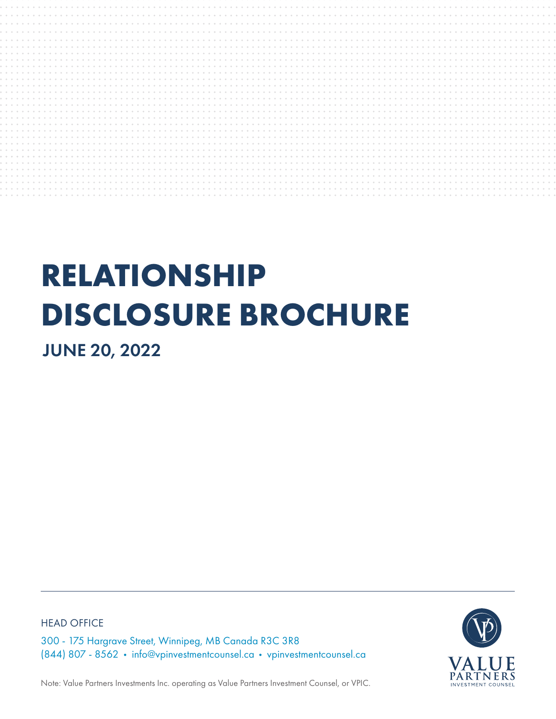

# **RELATIONSHIP DISCLOSURE BROCHURE**

JUNE 20, 2022

HEAD OFFICE

300 - 175 Hargrave Street, Winnipeg, MB Canada R3C 3R8 (844) 807 - 8562 • info@vpinvestmentcounsel.ca • vpinvestmentcounsel.ca



Note: Value Partners Investments Inc. operating as Value Partners Investment Counsel, or VPIC.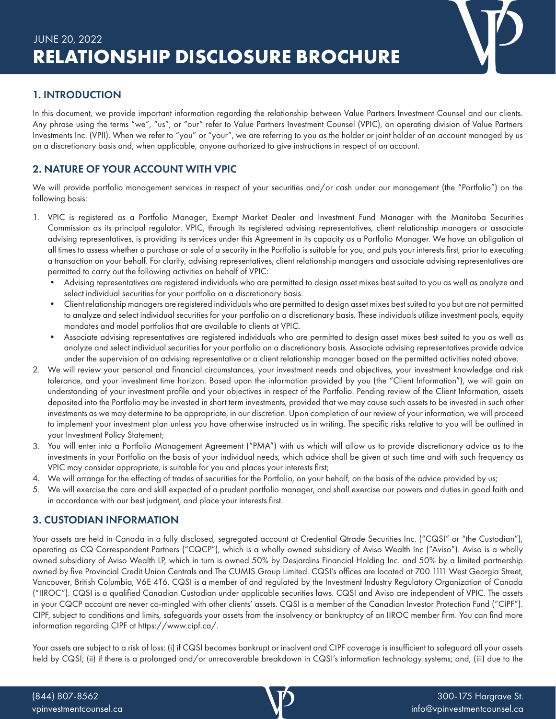# 1. INTRODUCTION

In this document, we provide important information regarding the relationship between Value Partners Investment Counsel and our clients. Any phrase using the terms "we", "us", or "our" refer to Value Partners Investment Counsel (VPIC), an operating division of Value Partners Investments Inc. (VPII). When we refer to "you" or "your", we are referring to you as the holder or joint holder of an account managed by us on a discretionary basis and, when applicable, anyone authorized to give instructions in respect of an account.

# 2. NATURE OF YOUR ACCOUNT WITH VPIC

We will provide portfolio management services in respect of your securities and/or cash under our management (the "Portfolio") on the following basis:

- 1. VPIC is registered as a Portfolio Manager, Exempt Market Dealer and Investment Fund Manager with the Manitoba Securities Commission as its principal regulator. VPIC, through its registered advising representatives, client relationship managers or associate advising representatives, is providing its services under this Agreement in its capacity as a Portfolio Manager. We have an obligation at all times to assess whether a purchase or sale of a security in the Portfolio is suitable for you, and puts your interests first, prior to executing a transaction on your behalf. For clarity, advising representatives, client relationship managers and associate advising representatives are permitted to carry out the following activities on behalf of VPIC:
	- Advising representatives are registered individuals who are permitted to design asset mixes best suited to you as well as analyze and select individual securities for your portfolio on a discretionary basis.
	- Client relationship managers are registered individuals who are permitted to design asset mixes best suited to you but are not permitted to analyze and select individual securities for your portfolio on a discretionary basis. These individuals utilize investment pools, equity mandates and model portfolios that are available to clients at VPIC.
	- Associate advising representatives are registered individuals who are permitted to design asset mixes best suited to you as well as analyze and select individual securities for your portfolio on a discretionary basis. Associate advising representatives provide advice under the supervision of an advising representative or a client relationship manager based on the permitted activities noted above.
- 2. We will review your personal and financial circumstances, your investment needs and objectives, your investment knowledge and risk tolerance, and your investment time horizon. Based upon the information provided by you (the "Client Information"), we will gain an understanding of your investment profile and your objectives in respect of the Portfolio. Pending review of the Client Information, assets deposited into the Portfolio may be invested in short term investments, provided that we may cause such assets to be invested in such other investments as we may determine to be appropriate, in our discretion. Upon completion of our review of your information, we will proceed to implement your investment plan unless you have otherwise instructed us in writing. The specific risks relative to you will be outlined in your Investment Policy Statement;
- 3. You will enter into a Portfolio Management Agreement ("PMA") with us which will allow us to provide discretionary advice as to the investments in your Portfolio on the basis of your individual needs, which advice shall be given at such time and with such frequency as VPIC may consider appropriate, is suitable for you and places your interests first;
- 4. We will arrange for the effecting of trades of securities for the Portfolio, on your behalf, on the basis of the advice provided by us;
- 5. We will exercise the care and skill expected of a prudent portfolio manager, and shall exercise our powers and duties in good faith and in accordance with our best judgment, and place your interests first.

# 3. CUSTODIAN INFORMATION

Your assets are held in Canada in a fully disclosed, segregated account at Credential Qtrade Securities Inc. ("CQSI" or "the Custodian"), operating as CQ Correspondent Partners ("CQCP"), which is a wholly owned subsidiary of Aviso Wealth Inc ("Aviso"). Aviso is a wholly owned subsidiary of Aviso Wealth LP, which in turn is owned 50% by Desjardins Financial Holding Inc. and 50% by a limited partnership owned by five Provincial Credit Union Centrals and The CUMIS Group Limited. CQSI's offices are located at 700 1111 West Georgia Street, Vancouver, British Columbia, V6E 4T6. CQSI is a member of and regulated by the Investment Industry Regulatory Organization of Canada ("IIROC"). CQSI is a qualified Canadian Custodian under applicable securities laws. CQSI and Aviso are independent of VPIC. The assets in your CQCP account are never co-mingled with other clients' assets. CQSI is a member of the Canadian Investor Protection Fund ("CIPF"). CIPF, subject to conditions and limits, safeguards your assets from the insolvency or bankruptcy of an IIROC member firm. You can find more information regarding CIPF at https://www.cipf.ca/.

Your assets are subject to a risk of loss: (i) if CQSI becomes bankrupt or insolvent and CIPF coverage is insufficient to safeguard all your assets held by CQSI; (ii) if there is a prolonged and/or unrecoverable breakdown in CQSI's information technology systems; and, (iii) due to the

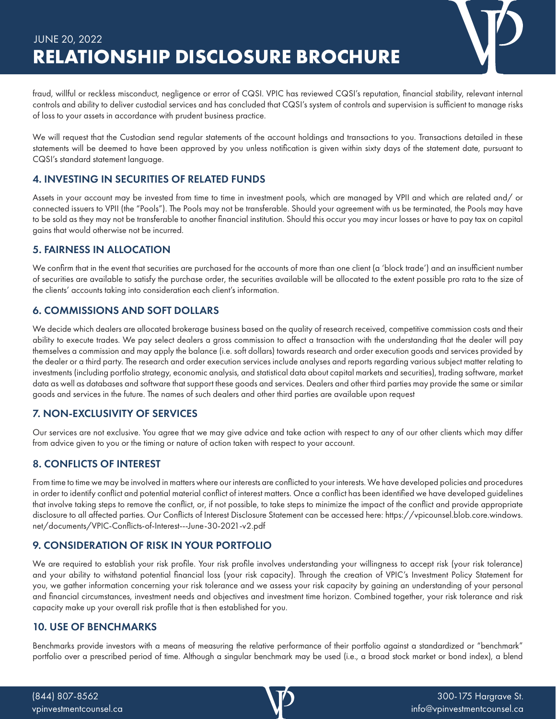

We will request that the Custodian send regular statements of the account holdings and transactions to you. Transactions detailed in these statements will be deemed to have been approved by you unless notification is given within sixty days of the statement date, pursuant to CQSI's standard statement language.

# 4. INVESTING IN SECURITIES OF RELATED FUNDS

Assets in your account may be invested from time to time in investment pools, which are managed by VPII and which are related and/ or connected issuers to VPII (the "Pools"). The Pools may not be transferable. Should your agreement with us be terminated, the Pools may have to be sold as they may not be transferable to another financial institution. Should this occur you may incur losses or have to pay tax on capital gains that would otherwise not be incurred.

### 5. FAIRNESS IN ALLOCATION

We confirm that in the event that securities are purchased for the accounts of more than one client (a 'block trade') and an insufficient number of securities are available to satisfy the purchase order, the securities available will be allocated to the extent possible pro rata to the size of the clients' accounts taking into consideration each client's information.

# 6. COMMISSIONS AND SOFT DOLLARS

We decide which dealers are allocated brokerage business based on the quality of research received, competitive commission costs and their ability to execute trades. We pay select dealers a gross commission to affect a transaction with the understanding that the dealer will pay themselves a commission and may apply the balance (i.e. soft dollars) towards research and order execution goods and services provided by the dealer or a third party. The research and order execution services include analyses and reports regarding various subject matter relating to investments (including portfolio strategy, economic analysis, and statistical data about capital markets and securities), trading software, market data as well as databases and software that support these goods and services. Dealers and other third parties may provide the same or similar goods and services in the future. The names of such dealers and other third parties are available upon request

# 7. NON-EXCLUSIVITY OF SERVICES

Our services are not exclusive. You agree that we may give advice and take action with respect to any of our other clients which may differ from advice given to you or the timing or nature of action taken with respect to your account.

# 8. CONFLICTS OF INTEREST

From time to time we may be involved in matters where our interests are conflicted to your interests. We have developed policies and procedures in order to identify conflict and potential material conflict of interest matters. Once a conflict has been identified we have developed guidelines that involve taking steps to remove the conflict, or, if not possible, to take steps to minimize the impact of the conflict and provide appropriate disclosure to all affected parties. Our Conflicts of Interest Disclosure Statement can be accessed here: https://vpicounsel.blob.core.windows. net/documents/VPIC-Conflicts-of-Interest---June-30-2021-v2.pdf

# 9. CONSIDERATION OF RISK IN YOUR PORTFOLIO

We are required to establish your risk profile. Your risk profile involves understanding your willingness to accept risk (your risk tolerance) and your ability to withstand potential financial loss (your risk capacity). Through the creation of VPIC's Investment Policy Statement for you, we gather information concerning your risk tolerance and we assess your risk capacity by gaining an understanding of your personal and financial circumstances, investment needs and objectives and investment time horizon. Combined together, your risk tolerance and risk capacity make up your overall risk profile that is then established for you.

#### 10. USE OF BENCHMARKS

Benchmarks provide investors with a means of measuring the relative performance of their portfolio against a standardized or "benchmark" portfolio over a prescribed period of time. Although a singular benchmark may be used (i.e., a broad stock market or bond index), a blend

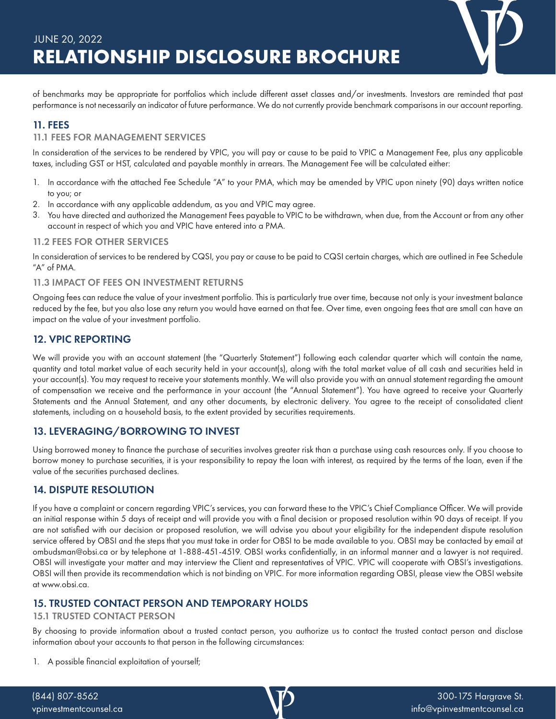

# 11. FEES

#### 11.1 FEES FOR MANAGEMENT SERVICES

In consideration of the services to be rendered by VPIC, you will pay or cause to be paid to VPIC a Management Fee, plus any applicable taxes, including GST or HST, calculated and payable monthly in arrears. The Management Fee will be calculated either:

- 1. In accordance with the attached Fee Schedule "A" to your PMA, which may be amended by VPIC upon ninety (90) days written notice to you; or
- 2. In accordance with any applicable addendum, as you and VPIC may agree.
- 3. You have directed and authorized the Management Fees payable to VPIC to be withdrawn, when due, from the Account or from any other account in respect of which you and VPIC have entered into a PMA.

#### 11.2 FEES FOR OTHER SERVICES

In consideration of services to be rendered by CQSI, you pay or cause to be paid to CQSI certain charges, which are outlined in Fee Schedule "A" of PMA.

#### 11.3 IMPACT OF FEES ON INVESTMENT RETURNS

Ongoing fees can reduce the value of your investment portfolio. This is particularly true over time, because not only is your investment balance reduced by the fee, but you also lose any return you would have earned on that fee. Over time, even ongoing fees that are small can have an impact on the value of your investment portfolio.

#### 12. VPIC REPORTING

We will provide you with an account statement (the "Quarterly Statement") following each calendar quarter which will contain the name, quantity and total market value of each security held in your account(s), along with the total market value of all cash and securities held in your account(s). You may request to receive your statements monthly. We will also provide you with an annual statement regarding the amount of compensation we receive and the performance in your account (the "Annual Statement"). You have agreed to receive your Quarterly Statements and the Annual Statement, and any other documents, by electronic delivery. You agree to the receipt of consolidated client statements, including on a household basis, to the extent provided by securities requirements.

#### 13. LEVERAGING/BORROWING TO INVEST

Using borrowed money to finance the purchase of securities involves greater risk than a purchase using cash resources only. If you choose to borrow money to purchase securities, it is your responsibility to repay the loan with interest, as required by the terms of the loan, even if the value of the securities purchased declines.

#### 14. DISPUTE RESOLUTION

If you have a complaint or concern regarding VPIC's services, you can forward these to the VPIC's Chief Compliance Officer. We will provide an initial response within 5 days of receipt and will provide you with a final decision or proposed resolution within 90 days of receipt. If you are not satisfied with our decision or proposed resolution, we will advise you about your eligibility for the independent dispute resolution service offered by OBSI and the steps that you must take in order for OBSI to be made available to you. OBSI may be contacted by email at ombudsman@obsi.ca or by telephone at 1-888-451-4519. OBSI works confidentially, in an informal manner and a lawyer is not required. OBSI will investigate your matter and may interview the Client and representatives of VPIC. VPIC will cooperate with OBSI's investigations. OBSI will then provide its recommendation which is not binding on VPIC. For more information regarding OBSI, please view the OBSI website at www.obsi.ca.

#### 15. TRUSTED CONTACT PERSON AND TEMPORARY HOLDS

#### 15.1 TRUSTED CONTACT PERSON

By choosing to provide information about a trusted contact person, you authorize us to contact the trusted contact person and disclose information about your accounts to that person in the following circumstances:

1. A possible financial exploitation of yourself;